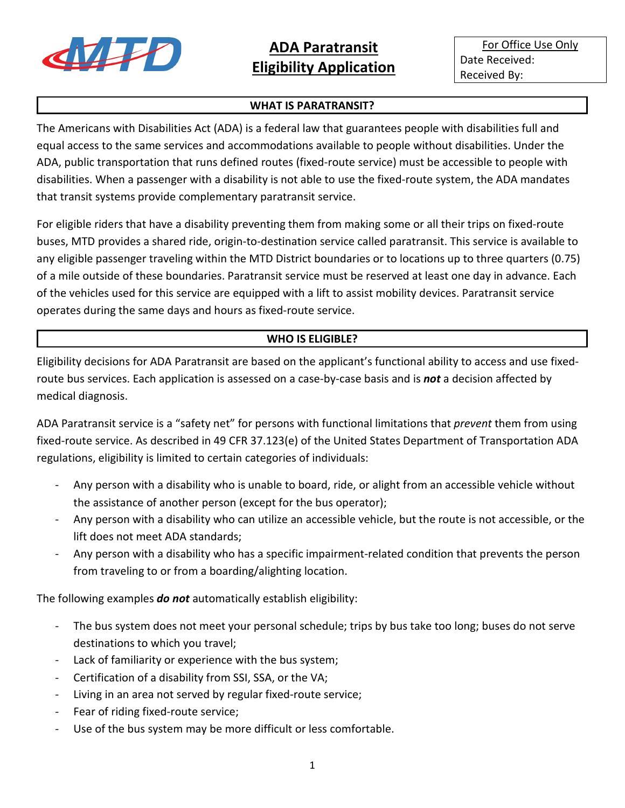

For Office Use Only Date Received: Received By:

### **WHAT IS PARATRANSIT?**

The Americans with Disabilities Act (ADA) is a federal law that guarantees people with disabilities full and equal access to the same services and accommodations available to people without disabilities. Under the ADA, public transportation that runs defined routes (fixed-route service) must be accessible to people with disabilities. When a passenger with a disability is not able to use the fixed-route system, the ADA mandates that transit systems provide complementary paratransit service.

For eligible riders that have a disability preventing them from making some or all their trips on fixed-route buses, MTD provides a shared ride, origin-to-destination service called paratransit. This service is available to any eligible passenger traveling within the MTD District boundaries or to locations up to three quarters (0.75) of a mile outside of these boundaries. Paratransit service must be reserved at least one day in advance. Each of the vehicles used for this service are equipped with a lift to assist mobility devices. Paratransit service operates during the same days and hours as fixed-route service.

## **WHO IS ELIGIBLE?**

Eligibility decisions for ADA Paratransit are based on the applicant's functional ability to access and use fixedroute bus services. Each application is assessed on a case-by-case basis and is *not* a decision affected by medical diagnosis.

ADA Paratransit service is a "safety net" for persons with functional limitations that *prevent* them from using fixed-route service. As described in 49 CFR 37.123(e) of the United States Department of Transportation ADA regulations, eligibility is limited to certain categories of individuals:

- Any person with a disability who is unable to board, ride, or alight from an accessible vehicle without the assistance of another person (except for the bus operator);
- Any person with a disability who can utilize an accessible vehicle, but the route is not accessible, or the lift does not meet ADA standards;
- Any person with a disability who has a specific impairment-related condition that prevents the person from traveling to or from a boarding/alighting location.

The following examples *do not* automatically establish eligibility:

- The bus system does not meet your personal schedule; trips by bus take too long; buses do not serve destinations to which you travel;
- Lack of familiarity or experience with the bus system;
- Certification of a disability from SSI, SSA, or the VA;
- Living in an area not served by regular fixed-route service;
- Fear of riding fixed-route service;
- Use of the bus system may be more difficult or less comfortable.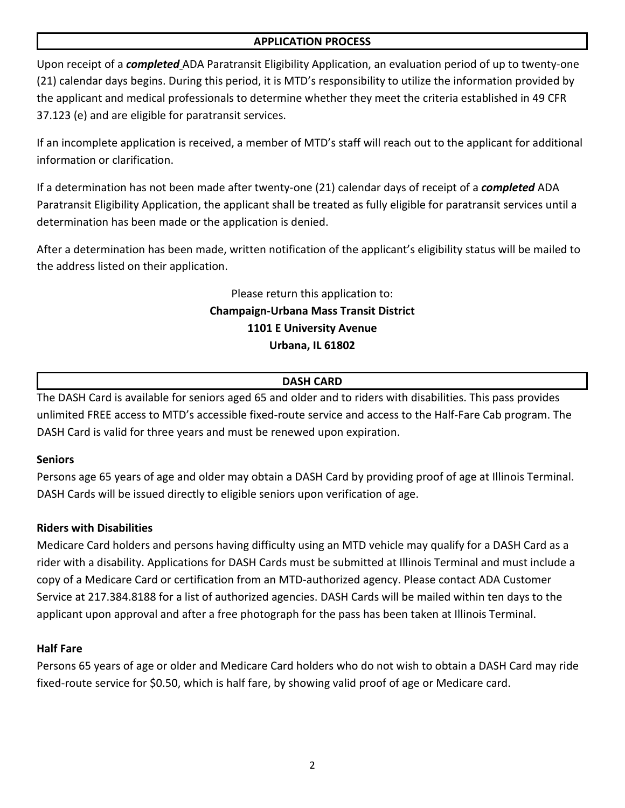### **APPLICATION PROCESS**

Upon receipt of a *completed* ADA Paratransit Eligibility Application, an evaluation period of up to twenty-one (21) calendar days begins. During this period, it is MTD's responsibility to utilize the information provided by the applicant and medical professionals to determine whether they meet the criteria established in 49 CFR 37.123 (e) and are eligible for paratransit services.

If an incomplete application is received, a member of MTD's staff will reach out to the applicant for additional information or clarification.

If a determination has not been made after twenty-one (21) calendar days of receipt of a *completed* ADA Paratransit Eligibility Application, the applicant shall be treated as fully eligible for paratransit services until a determination has been made or the application is denied.

After a determination has been made, written notification of the applicant's eligibility status will be mailed to the address listed on their application.

## Please return this application to: **Champaign-Urbana Mass Transit District 1101 E University Avenue Urbana, IL 61802**

## **DASH CARD**

The DASH Card is available for seniors aged 65 and older and to riders with disabilities. This pass provides unlimited FREE access to MTD's accessible fixed-route service and access to the Half-Fare Cab program. The DASH Card is valid for three years and must be renewed upon expiration.

## **Seniors**

Persons age 65 years of age and older may obtain a DASH Card by providing proof of age at Illinois Terminal. DASH Cards will be issued directly to eligible seniors upon verification of age.

## **Riders with Disabilities**

Medicare Card holders and persons having difficulty using an MTD vehicle may qualify for a DASH Card as a rider with a disability. Applications for DASH Cards must be submitted at Illinois Terminal and must include a copy of a Medicare Card or certification from an MTD-authorized agency. Please contact ADA Customer Service at 217.384.8188 for a list of authorized agencies. DASH Cards will be mailed within ten days to the applicant upon approval and after a free photograph for the pass has been taken at Illinois Terminal.

## **Half Fare**

Persons 65 years of age or older and Medicare Card holders who do not wish to obtain a DASH Card may ride fixed-route service for \$0.50, which is half fare, by showing valid proof of age or Medicare card.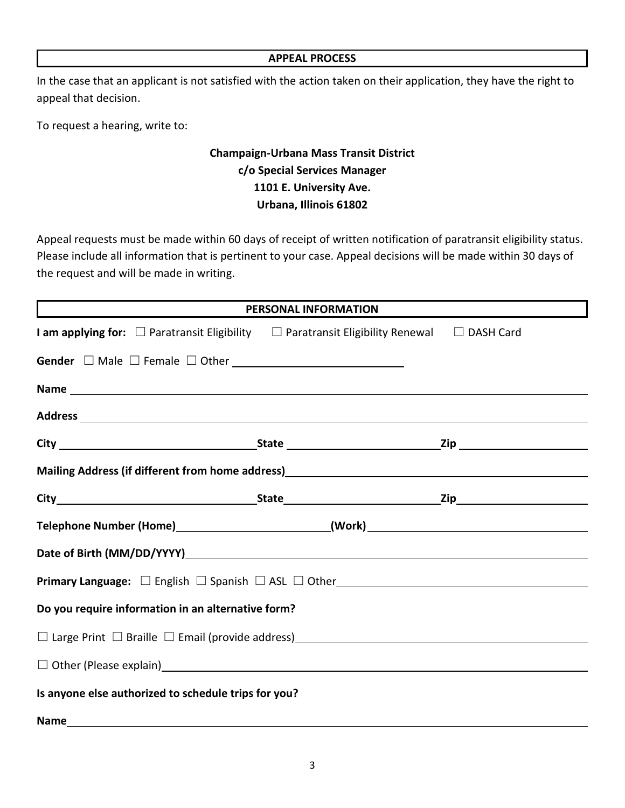#### **APPEAL PROCESS**

In the case that an applicant is not satisfied with the action taken on their application, they have the right to appeal that decision.

To request a hearing, write to:

# **Champaign-Urbana Mass Transit District c/o Special Services Manager 1101 E. University Ave. Urbana, Illinois 61802**

Appeal requests must be made within 60 days of receipt of written notification of paratransit eligibility status. Please include all information that is pertinent to your case. Appeal decisions will be made within 30 days of the request and will be made in writing.

| PERSONAL INFORMATION                                                                                                                                                                                                               |  |  |  |  |
|------------------------------------------------------------------------------------------------------------------------------------------------------------------------------------------------------------------------------------|--|--|--|--|
| I am applying for: $\Box$ Paratransit Eligibility $\Box$ Paratransit Eligibility Renewal $\Box$ DASH Card                                                                                                                          |  |  |  |  |
|                                                                                                                                                                                                                                    |  |  |  |  |
|                                                                                                                                                                                                                                    |  |  |  |  |
|                                                                                                                                                                                                                                    |  |  |  |  |
|                                                                                                                                                                                                                                    |  |  |  |  |
| Mailing Address (if different from home address)<br>Mailing Address (if different from home address)<br>2020 - 2021 - 2022 - 2022 - 2022 - 2022 - 2022 - 2023 - 2023 - 2023 - 2023 - 2023 - 2023 - 2023 - 2023 - 2023 - 2023 - 202 |  |  |  |  |
|                                                                                                                                                                                                                                    |  |  |  |  |
| Telephone Number (Home)___________________________(Work)_________________________                                                                                                                                                  |  |  |  |  |
|                                                                                                                                                                                                                                    |  |  |  |  |
|                                                                                                                                                                                                                                    |  |  |  |  |
| Do you require information in an alternative form?                                                                                                                                                                                 |  |  |  |  |
|                                                                                                                                                                                                                                    |  |  |  |  |
| □ Other (Please explain)<br>□ Other (Please explain)                                                                                                                                                                               |  |  |  |  |
| Is anyone else authorized to schedule trips for you?                                                                                                                                                                               |  |  |  |  |
|                                                                                                                                                                                                                                    |  |  |  |  |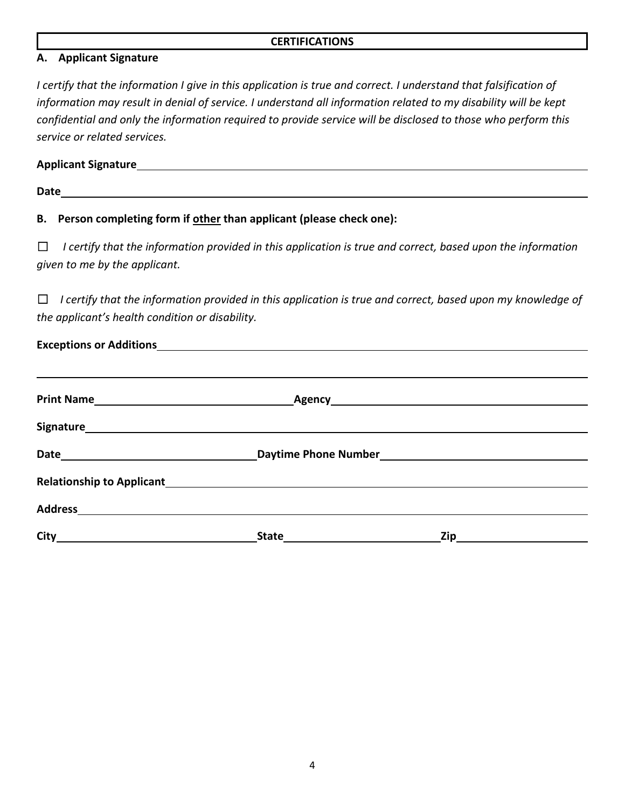#### **CERTIFICATIONS**

### **A. Applicant Signature**

*I certify that the information I give in this application is true and correct. I understand that falsification of information may result in denial of service. I understand all information related to my disability will be kept confidential and only the information required to provide service will be disclosed to those who perform this service or related services.* 

#### **Applicant Signature**

**Date**

## **B. Person completing form if other than applicant (please check one):**

☐*I certify that the information provided in this application is true and correct, based upon the information given to me by the applicant.*

☐*I certify that the information provided in this application is true and correct, based upon my knowledge of the applicant's health condition or disability.*

| Date <b>Date</b> Daytime Phone Number <b>Number Date</b> Daytime Phone Number <b>Number Date Date Date Date Date Date Date Date Date Date Date Date Date Date Date Date Date Date Date Date Da</b>                             |  |
|--------------------------------------------------------------------------------------------------------------------------------------------------------------------------------------------------------------------------------|--|
| Relationship to Applicant Entertainment Contact Contact Contact Contact Contact Contact Contact Contact Contact Contact Contact Contact Contact Contact Contact Contact Contact Contact Contact Contact Contact Contact Contac |  |
|                                                                                                                                                                                                                                |  |
|                                                                                                                                                                                                                                |  |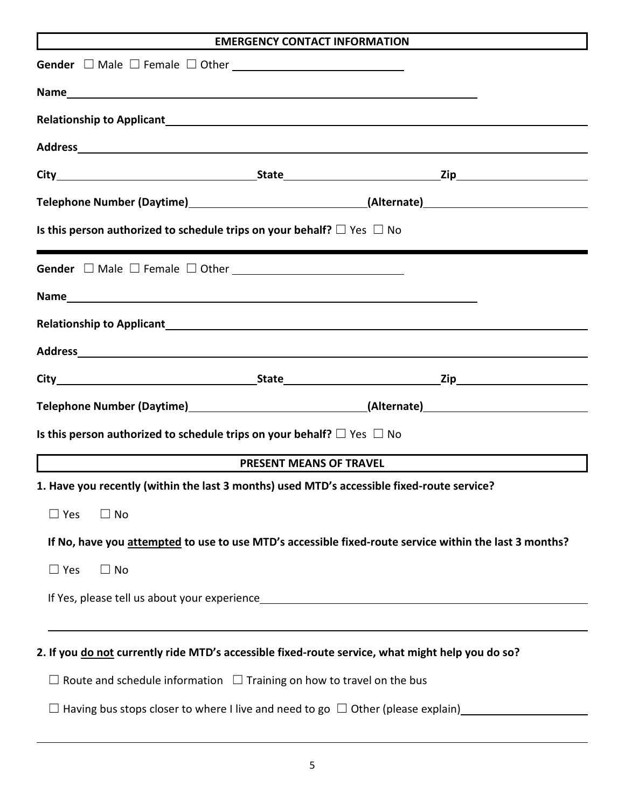| <b>EMERGENCY CONTACT INFORMATION</b>                                                                                                                                                                                           |
|--------------------------------------------------------------------------------------------------------------------------------------------------------------------------------------------------------------------------------|
|                                                                                                                                                                                                                                |
|                                                                                                                                                                                                                                |
|                                                                                                                                                                                                                                |
| Address and the contract of the contract of the contract of the contract of the contract of the contract of the contract of the contract of the contract of the contract of the contract of the contract of the contract of th |
|                                                                                                                                                                                                                                |
| Telephone Number (Daytime)__________________________________(Alternate)_____________________________                                                                                                                           |
| Is this person authorized to schedule trips on your behalf? $\Box$ Yes $\Box$ No                                                                                                                                               |
|                                                                                                                                                                                                                                |
|                                                                                                                                                                                                                                |
|                                                                                                                                                                                                                                |
|                                                                                                                                                                                                                                |
|                                                                                                                                                                                                                                |
| Telephone Number (Daytime)___________________________________(Alternate)____________________________                                                                                                                           |
| Is this person authorized to schedule trips on your behalf? $\Box$ Yes $\Box$ No                                                                                                                                               |
| <b>PRESENT MEANS OF TRAVEL</b>                                                                                                                                                                                                 |
| 1. Have you recently (within the last 3 months) used MTD's accessible fixed-route service?                                                                                                                                     |
| $\Box$ Yes<br>$\Box$ No                                                                                                                                                                                                        |
| If No, have you attempted to use to use MTD's accessible fixed-route service within the last 3 months?                                                                                                                         |
| $\Box$ Yes<br>$\Box$ No                                                                                                                                                                                                        |
|                                                                                                                                                                                                                                |
|                                                                                                                                                                                                                                |
| 2. If you do not currently ride MTD's accessible fixed-route service, what might help you do so?                                                                                                                               |
| $\Box$ Route and schedule information $\Box$ Training on how to travel on the bus                                                                                                                                              |
| $\Box$ Having bus stops closer to where I live and need to go $\Box$ Other (please explain)                                                                                                                                    |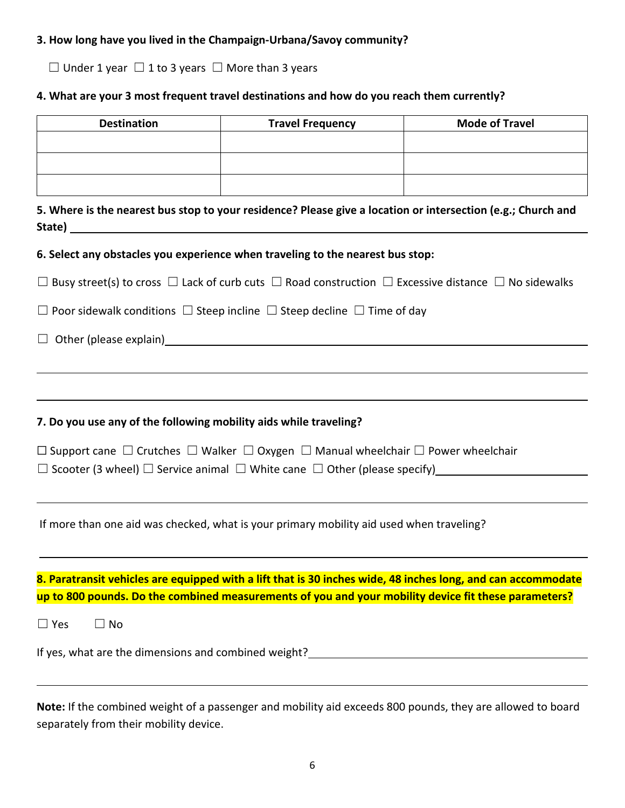## **3. How long have you lived in the Champaign-Urbana/Savoy community?**

☐ Under 1 year ☐ 1 to 3 years ☐ More than 3 years

## **4. What are your 3 most frequent travel destinations and how do you reach them currently?**

| <b>Destination</b>                                                                                                             | <b>Travel Frequency</b>                                                                  | <b>Mode of Travel</b> |
|--------------------------------------------------------------------------------------------------------------------------------|------------------------------------------------------------------------------------------|-----------------------|
|                                                                                                                                |                                                                                          |                       |
|                                                                                                                                |                                                                                          |                       |
|                                                                                                                                |                                                                                          |                       |
| 5. Where is the nearest bus stop to your residence? Please give a location or intersection (e.g.; Church and                   |                                                                                          |                       |
| 6. Select any obstacles you experience when traveling to the nearest bus stop:                                                 |                                                                                          |                       |
| $\Box$ Busy street(s) to cross $\Box$ Lack of curb cuts $\Box$ Road construction $\Box$ Excessive distance $\Box$ No sidewalks |                                                                                          |                       |
| $\Box$ Poor sidewalk conditions $\Box$ Steep incline $\Box$ Steep decline $\Box$ Time of day                                   |                                                                                          |                       |
|                                                                                                                                |                                                                                          |                       |
|                                                                                                                                |                                                                                          |                       |
|                                                                                                                                |                                                                                          |                       |
| 7. Do you use any of the following mobility aids while traveling?                                                              |                                                                                          |                       |
|                                                                                                                                |                                                                                          |                       |
| $\Box$ Support cane $\Box$ Crutches $\Box$ Walker $\Box$ Oxygen $\Box$ Manual wheelchair $\Box$ Power wheelchair               |                                                                                          |                       |
| $\Box$ Scooter (3 wheel) $\Box$ Service animal $\Box$ White cane $\Box$ Other (please specify)                                 |                                                                                          |                       |
|                                                                                                                                | If more than one aid was checked, what is your primary mobility aid used when traveling? |                       |
|                                                                                                                                |                                                                                          |                       |
| 8. Paratransit vehicles are equipped with a lift that is 30 inches wide, 48 inches long, and can accommodate                   |                                                                                          |                       |
| up to 800 pounds. Do the combined measurements of you and your mobility device fit these parameters?                           |                                                                                          |                       |
| $\Box$ No<br>$\Box$ Yes                                                                                                        |                                                                                          |                       |
| If yes, what are the dimensions and combined weight?                                                                           |                                                                                          |                       |
|                                                                                                                                |                                                                                          |                       |
| Note: If the combined weight of a passenger and mobility aid exceeds 800 pounds, they are allowed to board                     |                                                                                          |                       |

separately from their mobility device.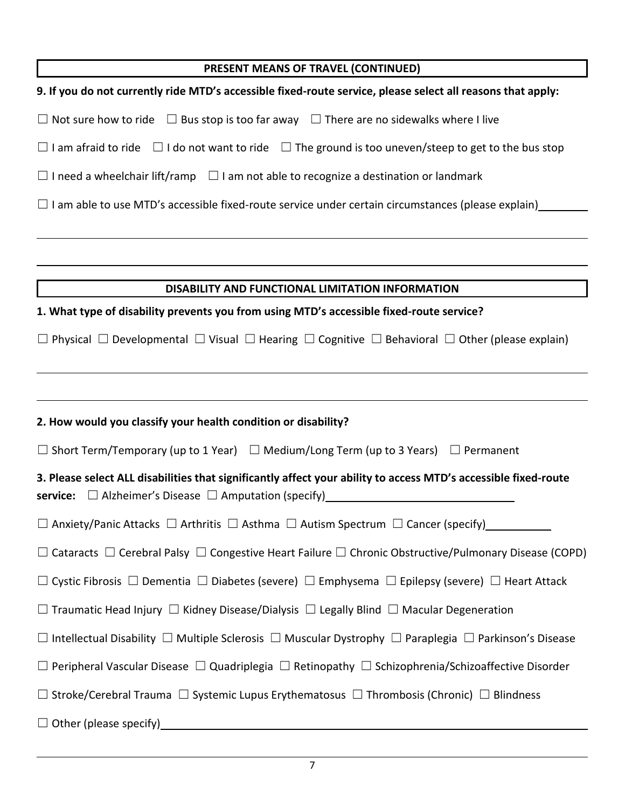| PRESENT MEANS OF TRAVEL (CONTINUED)                                                                                                                                                       |
|-------------------------------------------------------------------------------------------------------------------------------------------------------------------------------------------|
|                                                                                                                                                                                           |
| 9. If you do not currently ride MTD's accessible fixed-route service, please select all reasons that apply:                                                                               |
| $\Box$ Not sure how to ride $\Box$ Bus stop is too far away $\Box$ There are no sidewalks where I live                                                                                    |
| $\Box$ I am afraid to ride $\Box$ I do not want to ride $\Box$ The ground is too uneven/steep to get to the bus stop                                                                      |
| $\Box$ I need a wheelchair lift/ramp $\Box$ I am not able to recognize a destination or landmark                                                                                          |
| $\Box$ I am able to use MTD's accessible fixed-route service under certain circumstances (please explain)                                                                                 |
|                                                                                                                                                                                           |
|                                                                                                                                                                                           |
| DISABILITY AND FUNCTIONAL LIMITATION INFORMATION                                                                                                                                          |
| 1. What type of disability prevents you from using MTD's accessible fixed-route service?                                                                                                  |
| $\Box$ Physical $\Box$ Developmental $\Box$ Visual $\Box$ Hearing $\Box$ Cognitive $\Box$ Behavioral $\Box$ Other (please explain)                                                        |
|                                                                                                                                                                                           |
| 2. How would you classify your health condition or disability?                                                                                                                            |
| $\Box$ Short Term/Temporary (up to 1 Year) $\Box$ Medium/Long Term (up to 3 Years) $\Box$ Permanent                                                                                       |
| 3. Please select ALL disabilities that significantly affect your ability to access MTD's accessible fixed-route<br><b>service:</b> $\Box$ Alzheimer's Disease $\Box$ Amputation (specify) |
| $\Box$ Anxiety/Panic Attacks $\Box$ Arthritis $\Box$ Asthma $\Box$ Autism Spectrum $\Box$ Cancer (specify)                                                                                |
| $\Box$ Cataracts $\Box$ Cerebral Palsy $\Box$ Congestive Heart Failure $\Box$ Chronic Obstructive/Pulmonary Disease (COPD)                                                                |
| $\Box$ Cystic Fibrosis $\Box$ Dementia $\Box$ Diabetes (severe) $\Box$ Emphysema $\Box$ Epilepsy (severe) $\Box$ Heart Attack                                                             |
| $\Box$ Traumatic Head Injury $\Box$ Kidney Disease/Dialysis $\Box$ Legally Blind $\Box$ Macular Degeneration                                                                              |
| $\Box$ Intellectual Disability $\Box$ Multiple Sclerosis $\Box$ Muscular Dystrophy $\Box$ Paraplegia $\Box$ Parkinson's Disease                                                           |
| $\Box$ Peripheral Vascular Disease $\Box$ Quadriplegia $\Box$ Retinopathy $\Box$ Schizophrenia/Schizoaffective Disorder                                                                   |
| $\Box$ Stroke/Cerebral Trauma $\Box$ Systemic Lupus Erythematosus $\Box$ Thrombosis (Chronic) $\Box$ Blindness                                                                            |
| $\Box$ Other (please specify)                                                                                                                                                             |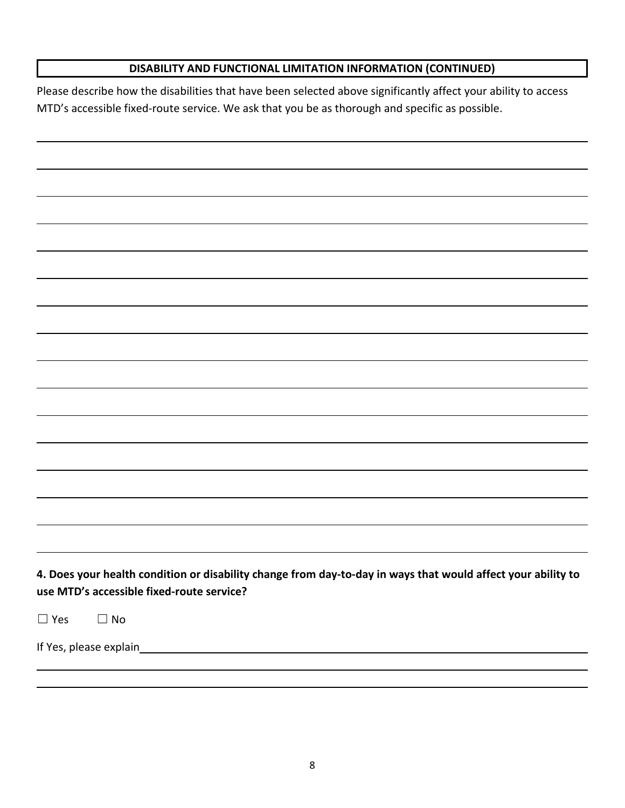## **DISABILITY AND FUNCTIONAL LIMITATION INFORMATION (CONTINUED)**

Please describe how the disabilities that have been selected above significantly affect your ability to access MTD's accessible fixed-route service. We ask that you be as thorough and specific as possible.

**4. Does your health condition or disability change from day-to-day in ways that would affect your ability to use MTD's accessible fixed-route service?** 

 $\square$  Yes  $\square$  No

If Yes, please explain\_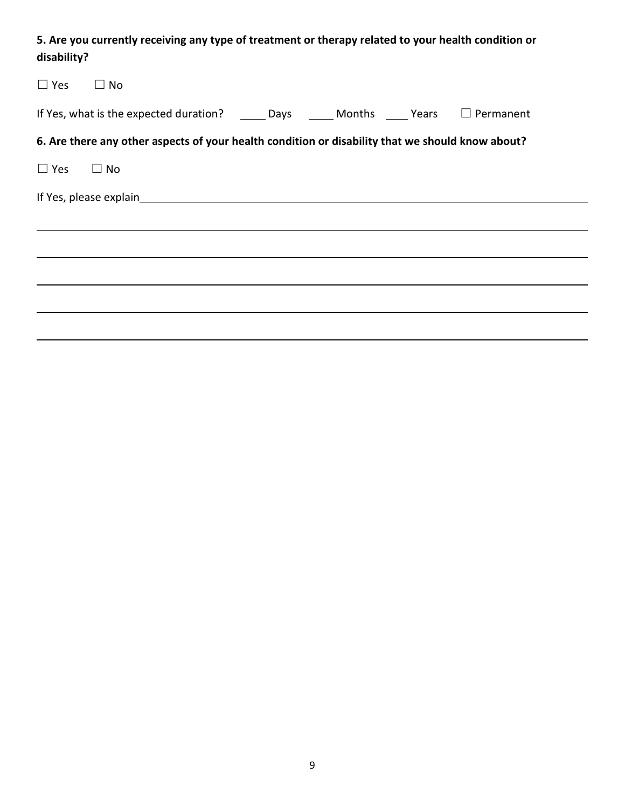# **5. Are you currently receiving any type of treatment or therapy related to your health condition or disability?**

| $\Box$ Yes $\Box$ No |                                                                                                                                  |  |  |
|----------------------|----------------------------------------------------------------------------------------------------------------------------------|--|--|
|                      | If Yes, what is the expected duration? $\qquad \qquad$ Days $\qquad \qquad$ Months $\qquad \qquad$ Years $\qquad \Box$ Permanent |  |  |
|                      | 6. Are there any other aspects of your health condition or disability that we should know about?                                 |  |  |
| $\Box$ Yes $\Box$ No |                                                                                                                                  |  |  |
|                      |                                                                                                                                  |  |  |
|                      |                                                                                                                                  |  |  |
|                      |                                                                                                                                  |  |  |
|                      |                                                                                                                                  |  |  |
|                      |                                                                                                                                  |  |  |
|                      |                                                                                                                                  |  |  |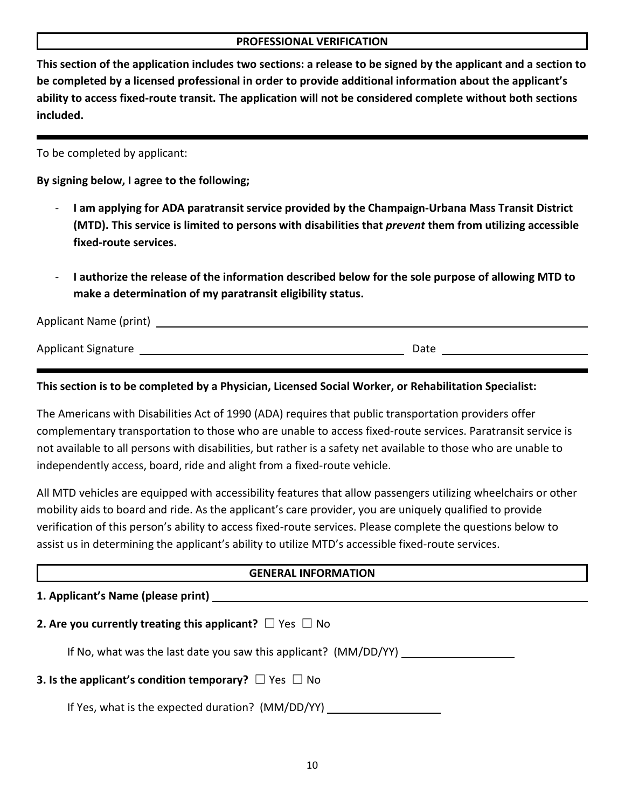#### **PROFESSIONAL VERIFICATION**

**This section of the application includes two sections: a release to be signed by the applicant and a section to be completed by a licensed professional in order to provide additional information about the applicant's ability to access fixed-route transit. The application will not be considered complete without both sections included.**

To be completed by applicant:

**By signing below, I agree to the following;**

- **I am applying for ADA paratransit service provided by the Champaign-Urbana Mass Transit District (MTD). This service is limited to persons with disabilities that** *prevent* **them from utilizing accessible fixed-route services.**
- **I authorize the release of the information described below for the sole purpose of allowing MTD to make a determination of my paratransit eligibility status.**

| Applicant Name (print)     |      |  |
|----------------------------|------|--|
| <b>Applicant Signature</b> | Date |  |

### **This section is to be completed by a Physician, Licensed Social Worker, or Rehabilitation Specialist:**

The Americans with Disabilities Act of 1990 (ADA) requires that public transportation providers offer complementary transportation to those who are unable to access fixed-route services. Paratransit service is not available to all persons with disabilities, but rather is a safety net available to those who are unable to independently access, board, ride and alight from a fixed-route vehicle.

All MTD vehicles are equipped with accessibility features that allow passengers utilizing wheelchairs or other mobility aids to board and ride. As the applicant's care provider, you are uniquely qualified to provide verification of this person's ability to access fixed-route services. Please complete the questions below to assist us in determining the applicant's ability to utilize MTD's accessible fixed-route services.

| <b>GENERAL INFORMATION</b>                                             |  |  |
|------------------------------------------------------------------------|--|--|
| 1. Applicant's Name (please print)                                     |  |  |
| 2. Are you currently treating this applicant? $\Box$ Yes $\Box$ No     |  |  |
| If No, what was the last date you saw this applicant? (MM/DD/YY)       |  |  |
| <b>3.</b> Is the applicant's condition temporary? $\Box$ Yes $\Box$ No |  |  |
| If Yes, what is the expected duration? (MM/DD/YY) ____                 |  |  |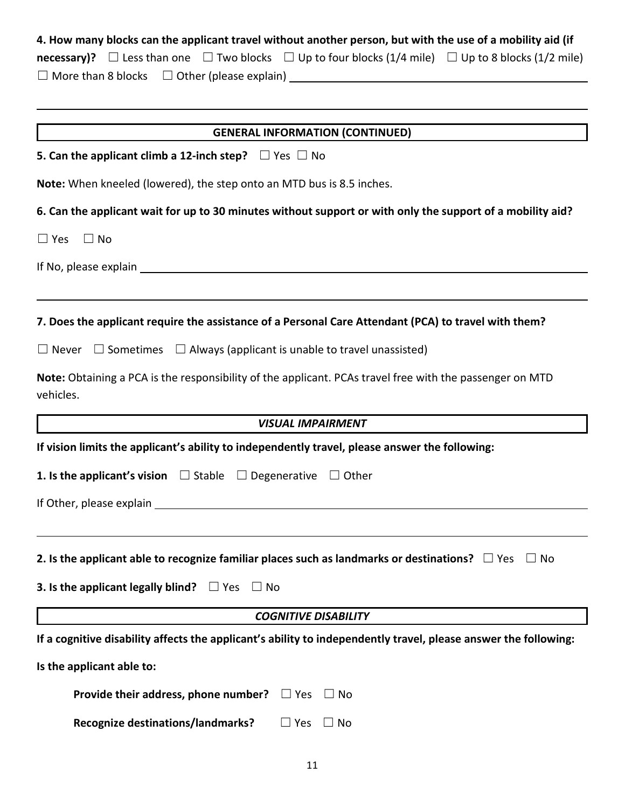# **4. How many blocks can the applicant travel without another person, but with the use of a mobility aid (if**

**necessary)?**  $□$  Less than one  $□$  Two blocks  $□$  Up to four blocks (1/4 mile)  $□$  Up to 8 blocks (1/2 mile)

☐ More than 8 blocks☐ Other (please explain)

| <b>GENERAL INFORMATION (CONTINUED)</b>                                                                                |  |  |  |
|-----------------------------------------------------------------------------------------------------------------------|--|--|--|
| 5. Can the applicant climb a 12-inch step? $\Box$ Yes $\Box$ No                                                       |  |  |  |
| Note: When kneeled (lowered), the step onto an MTD bus is 8.5 inches.                                                 |  |  |  |
| 6. Can the applicant wait for up to 30 minutes without support or with only the support of a mobility aid?            |  |  |  |
| $\Box$ Yes $\Box$ No                                                                                                  |  |  |  |
|                                                                                                                       |  |  |  |
|                                                                                                                       |  |  |  |
| 7. Does the applicant require the assistance of a Personal Care Attendant (PCA) to travel with them?                  |  |  |  |
| $\Box$ Never $\Box$ Sometimes $\Box$ Always (applicant is unable to travel unassisted)                                |  |  |  |
| Note: Obtaining a PCA is the responsibility of the applicant. PCAs travel free with the passenger on MTD<br>vehicles. |  |  |  |
| VISUAL IMPAIRMENT                                                                                                     |  |  |  |
| If vision limits the applicant's ability to independently travel, please answer the following:                        |  |  |  |
| <b>1. Is the applicant's vision</b> $\Box$ Stable $\Box$ Degenerative $\Box$ Other                                    |  |  |  |
|                                                                                                                       |  |  |  |
|                                                                                                                       |  |  |  |
| 2. Is the applicant able to recognize familiar places such as landmarks or destinations? $\Box$ Yes $\Box$ No         |  |  |  |
| <b>3. Is the applicant legally blind?</b> $\Box$ Yes<br>∟l No                                                         |  |  |  |
| <b>COGNITIVE DISABILITY</b>                                                                                           |  |  |  |
| If a cognitive disability affects the applicant's ability to independently travel, please answer the following:       |  |  |  |
| Is the applicant able to:                                                                                             |  |  |  |
| Provide their address, phone number?<br>$\Box$ Yes<br>$\Box$ No                                                       |  |  |  |
| <b>Recognize destinations/landmarks?</b><br>$\square$ Yes<br>$\Box$ No                                                |  |  |  |